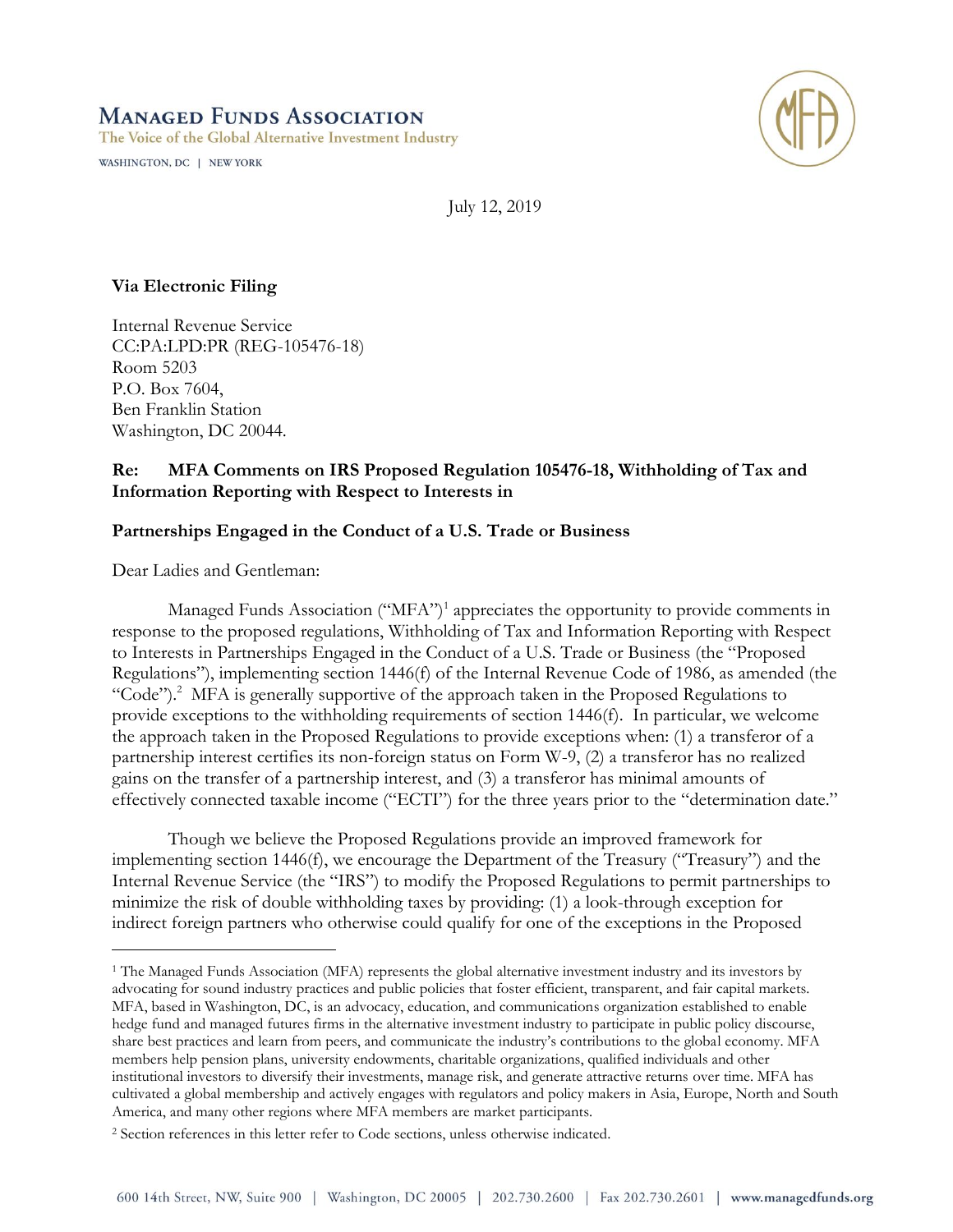# **MANAGED FUNDS ASSOCIATION**

The Voice of the Global Alternative Investment Industry

WASHINGTON, DC | NEW YORK



July 12, 2019

# **Via Electronic Filing**

Internal Revenue Service CC:PA:LPD:PR (REG-105476-18) Room 5203 P.O. Box 7604, Ben Franklin Station Washington, DC 20044.

# **Re: MFA Comments on IRS Proposed Regulation 105476-18, Withholding of Tax and Information Reporting with Respect to Interests in**

## **Partnerships Engaged in the Conduct of a U.S. Trade or Business**

Dear Ladies and Gentleman:

 $\overline{a}$ 

Managed Funds Association ("MFA")<sup>1</sup> appreciates the opportunity to provide comments in response to the proposed regulations, Withholding of Tax and Information Reporting with Respect to Interests in Partnerships Engaged in the Conduct of a U.S. Trade or Business (the "Proposed Regulations"), implementing section 1446(f) of the Internal Revenue Code of 1986, as amended (the "Code").<sup>2</sup> MFA is generally supportive of the approach taken in the Proposed Regulations to provide exceptions to the withholding requirements of section 1446(f). In particular, we welcome the approach taken in the Proposed Regulations to provide exceptions when: (1) a transferor of a partnership interest certifies its non-foreign status on Form W-9, (2) a transferor has no realized gains on the transfer of a partnership interest, and (3) a transferor has minimal amounts of effectively connected taxable income ("ECTI") for the three years prior to the "determination date."

Though we believe the Proposed Regulations provide an improved framework for implementing section 1446(f), we encourage the Department of the Treasury ("Treasury") and the Internal Revenue Service (the "IRS") to modify the Proposed Regulations to permit partnerships to minimize the risk of double withholding taxes by providing: (1) a look-through exception for indirect foreign partners who otherwise could qualify for one of the exceptions in the Proposed

<sup>1</sup> The Managed Funds Association (MFA) represents the global alternative investment industry and its investors by advocating for sound industry practices and public policies that foster efficient, transparent, and fair capital markets. MFA, based in Washington, DC, is an advocacy, education, and communications organization established to enable hedge fund and managed futures firms in the alternative investment industry to participate in public policy discourse, share best practices and learn from peers, and communicate the industry's contributions to the global economy. MFA members help pension plans, university endowments, charitable organizations, qualified individuals and other institutional investors to diversify their investments, manage risk, and generate attractive returns over time. MFA has cultivated a global membership and actively engages with regulators and policy makers in Asia, Europe, North and South America, and many other regions where MFA members are market participants.

<sup>2</sup> Section references in this letter refer to Code sections, unless otherwise indicated.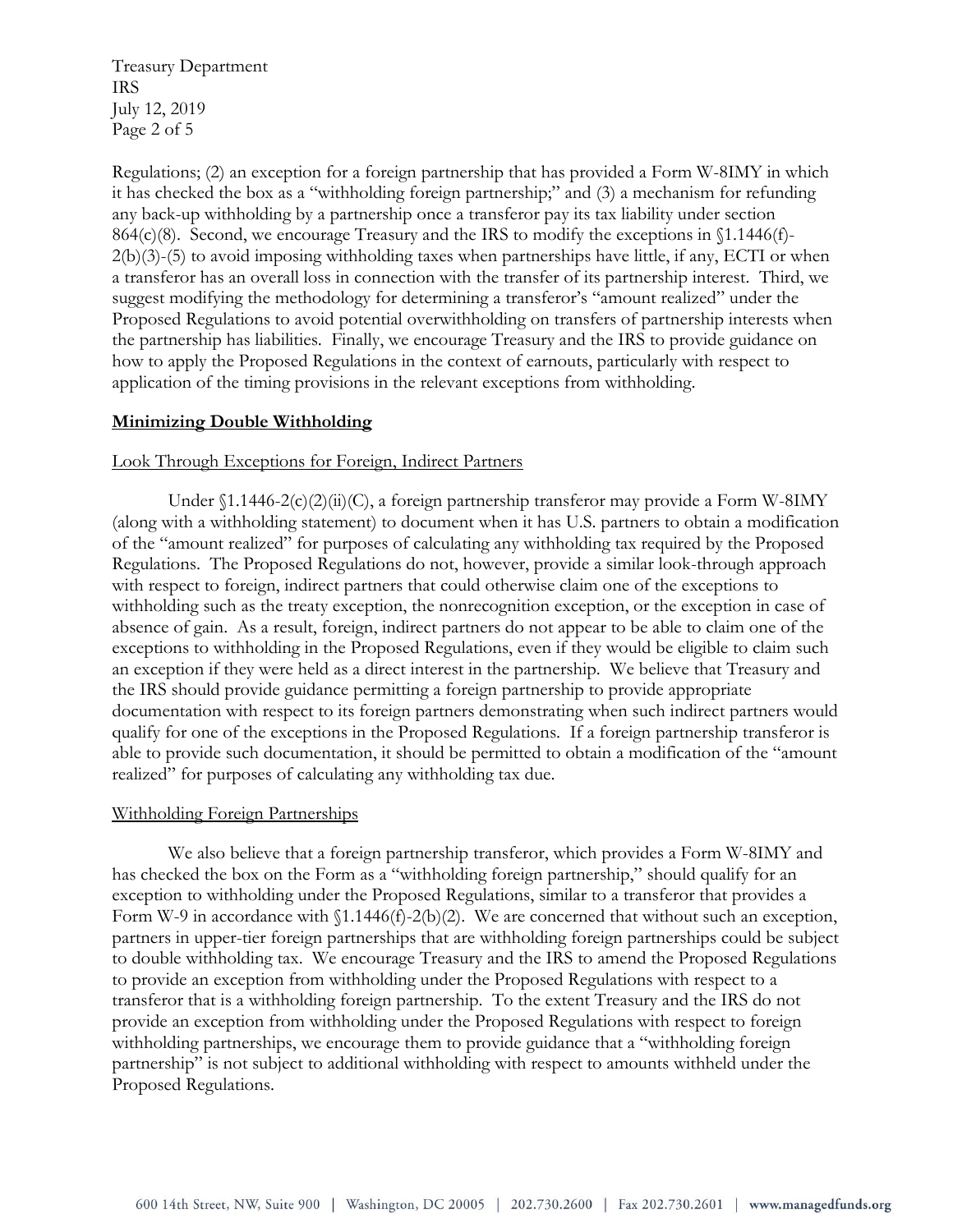Treasury Department IRS July 12, 2019 Page 2 of 5

Regulations; (2) an exception for a foreign partnership that has provided a Form W-8IMY in which it has checked the box as a "withholding foreign partnership;" and (3) a mechanism for refunding any back-up withholding by a partnership once a transferor pay its tax liability under section 864(c)(8). Second, we encourage Treasury and the IRS to modify the exceptions in §1.1446(f)- 2(b)(3)-(5) to avoid imposing withholding taxes when partnerships have little, if any, ECTI or when a transferor has an overall loss in connection with the transfer of its partnership interest. Third, we suggest modifying the methodology for determining a transferor's "amount realized" under the Proposed Regulations to avoid potential overwithholding on transfers of partnership interests when the partnership has liabilities. Finally, we encourage Treasury and the IRS to provide guidance on how to apply the Proposed Regulations in the context of earnouts, particularly with respect to application of the timing provisions in the relevant exceptions from withholding.

## **Minimizing Double Withholding**

### Look Through Exceptions for Foreign, Indirect Partners

Under  $(1.1446-2(c)(2)(ii)(C))$ , a foreign partnership transferor may provide a Form W-8IMY (along with a withholding statement) to document when it has U.S. partners to obtain a modification of the "amount realized" for purposes of calculating any withholding tax required by the Proposed Regulations. The Proposed Regulations do not, however, provide a similar look-through approach with respect to foreign, indirect partners that could otherwise claim one of the exceptions to withholding such as the treaty exception, the nonrecognition exception, or the exception in case of absence of gain. As a result, foreign, indirect partners do not appear to be able to claim one of the exceptions to withholding in the Proposed Regulations, even if they would be eligible to claim such an exception if they were held as a direct interest in the partnership. We believe that Treasury and the IRS should provide guidance permitting a foreign partnership to provide appropriate documentation with respect to its foreign partners demonstrating when such indirect partners would qualify for one of the exceptions in the Proposed Regulations. If a foreign partnership transferor is able to provide such documentation, it should be permitted to obtain a modification of the "amount realized" for purposes of calculating any withholding tax due.

#### Withholding Foreign Partnerships

We also believe that a foreign partnership transferor, which provides a Form W-8IMY and has checked the box on the Form as a "withholding foreign partnership," should qualify for an exception to withholding under the Proposed Regulations, similar to a transferor that provides a Form W-9 in accordance with  $(1.1446(f)-2(b)(2))$ . We are concerned that without such an exception, partners in upper-tier foreign partnerships that are withholding foreign partnerships could be subject to double withholding tax. We encourage Treasury and the IRS to amend the Proposed Regulations to provide an exception from withholding under the Proposed Regulations with respect to a transferor that is a withholding foreign partnership. To the extent Treasury and the IRS do not provide an exception from withholding under the Proposed Regulations with respect to foreign withholding partnerships, we encourage them to provide guidance that a "withholding foreign partnership" is not subject to additional withholding with respect to amounts withheld under the Proposed Regulations.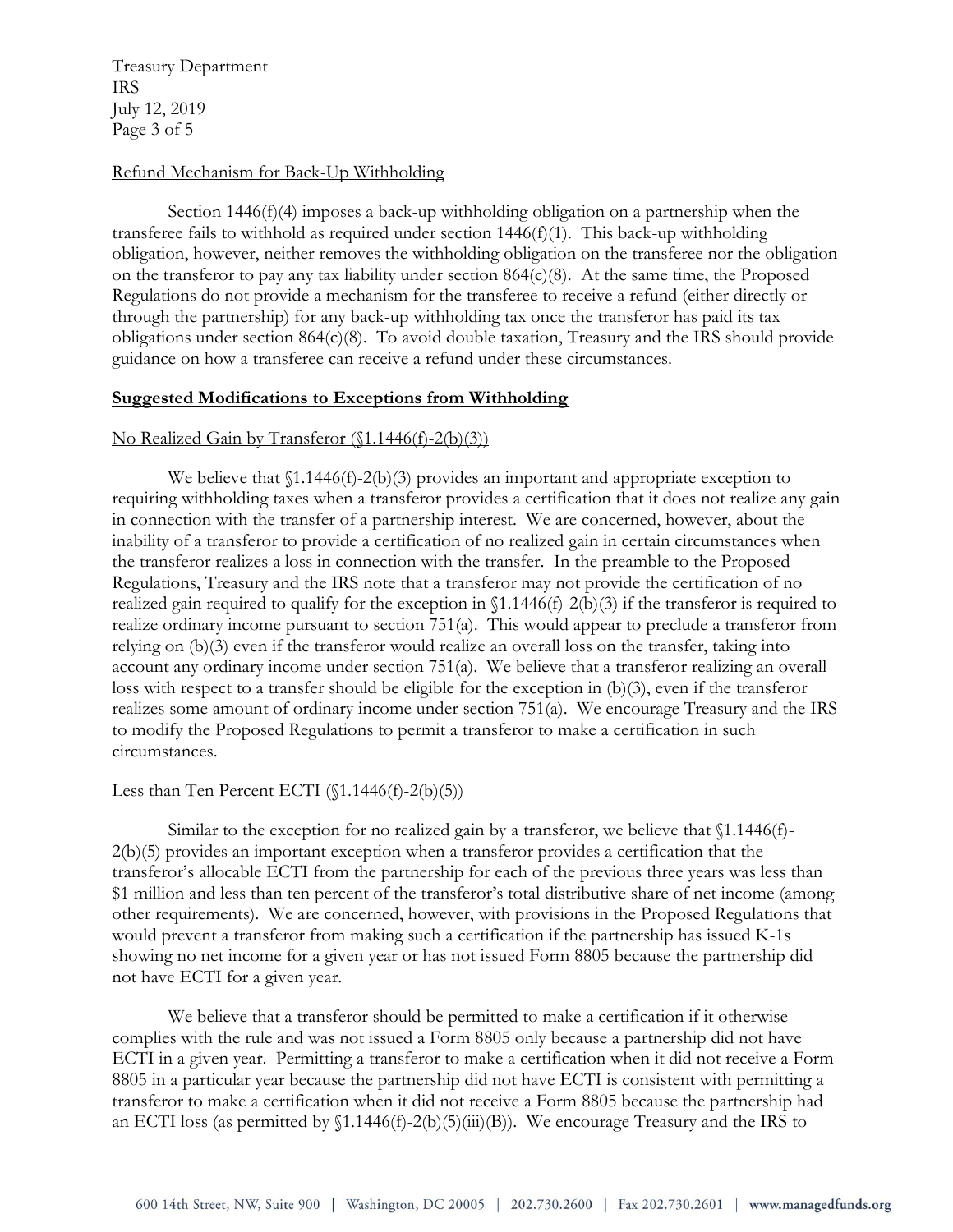Treasury Department IRS July 12, 2019 Page 3 of 5

### Refund Mechanism for Back-Up Withholding

Section  $1446(f)(4)$  imposes a back-up withholding obligation on a partnership when the transferee fails to withhold as required under section  $1446(f)(1)$ . This back-up withholding obligation, however, neither removes the withholding obligation on the transferee nor the obligation on the transferor to pay any tax liability under section 864(c)(8). At the same time, the Proposed Regulations do not provide a mechanism for the transferee to receive a refund (either directly or through the partnership) for any back-up withholding tax once the transferor has paid its tax obligations under section 864(c)(8). To avoid double taxation, Treasury and the IRS should provide guidance on how a transferee can receive a refund under these circumstances.

#### **Suggested Modifications to Exceptions from Withholding**

### No Realized Gain by Transferor (§1.1446(f)-2(b)(3))

We believe that  $(1.1446(f)-2(b)(3))$  provides an important and appropriate exception to requiring withholding taxes when a transferor provides a certification that it does not realize any gain in connection with the transfer of a partnership interest. We are concerned, however, about the inability of a transferor to provide a certification of no realized gain in certain circumstances when the transferor realizes a loss in connection with the transfer. In the preamble to the Proposed Regulations, Treasury and the IRS note that a transferor may not provide the certification of no realized gain required to qualify for the exception in  $(1.1446(f)-2(b)(3))$  if the transferor is required to realize ordinary income pursuant to section 751(a). This would appear to preclude a transferor from relying on (b)(3) even if the transferor would realize an overall loss on the transfer, taking into account any ordinary income under section 751(a). We believe that a transferor realizing an overall loss with respect to a transfer should be eligible for the exception in (b)(3), even if the transferor realizes some amount of ordinary income under section 751(a). We encourage Treasury and the IRS to modify the Proposed Regulations to permit a transferor to make a certification in such circumstances.

#### Less than Ten Percent ECTI (§1.1446(f)-2(b)(5))

Similar to the exception for no realized gain by a transferor, we believe that  $$1.1446(f)$ -2(b)(5) provides an important exception when a transferor provides a certification that the transferor's allocable ECTI from the partnership for each of the previous three years was less than \$1 million and less than ten percent of the transferor's total distributive share of net income (among other requirements). We are concerned, however, with provisions in the Proposed Regulations that would prevent a transferor from making such a certification if the partnership has issued K-1s showing no net income for a given year or has not issued Form 8805 because the partnership did not have ECTI for a given year.

We believe that a transferor should be permitted to make a certification if it otherwise complies with the rule and was not issued a Form 8805 only because a partnership did not have ECTI in a given year. Permitting a transferor to make a certification when it did not receive a Form 8805 in a particular year because the partnership did not have ECTI is consistent with permitting a transferor to make a certification when it did not receive a Form 8805 because the partnership had an ECTI loss (as permitted by  $(1.1446(f)-2(b)(5)(iii)(B))$ . We encourage Treasury and the IRS to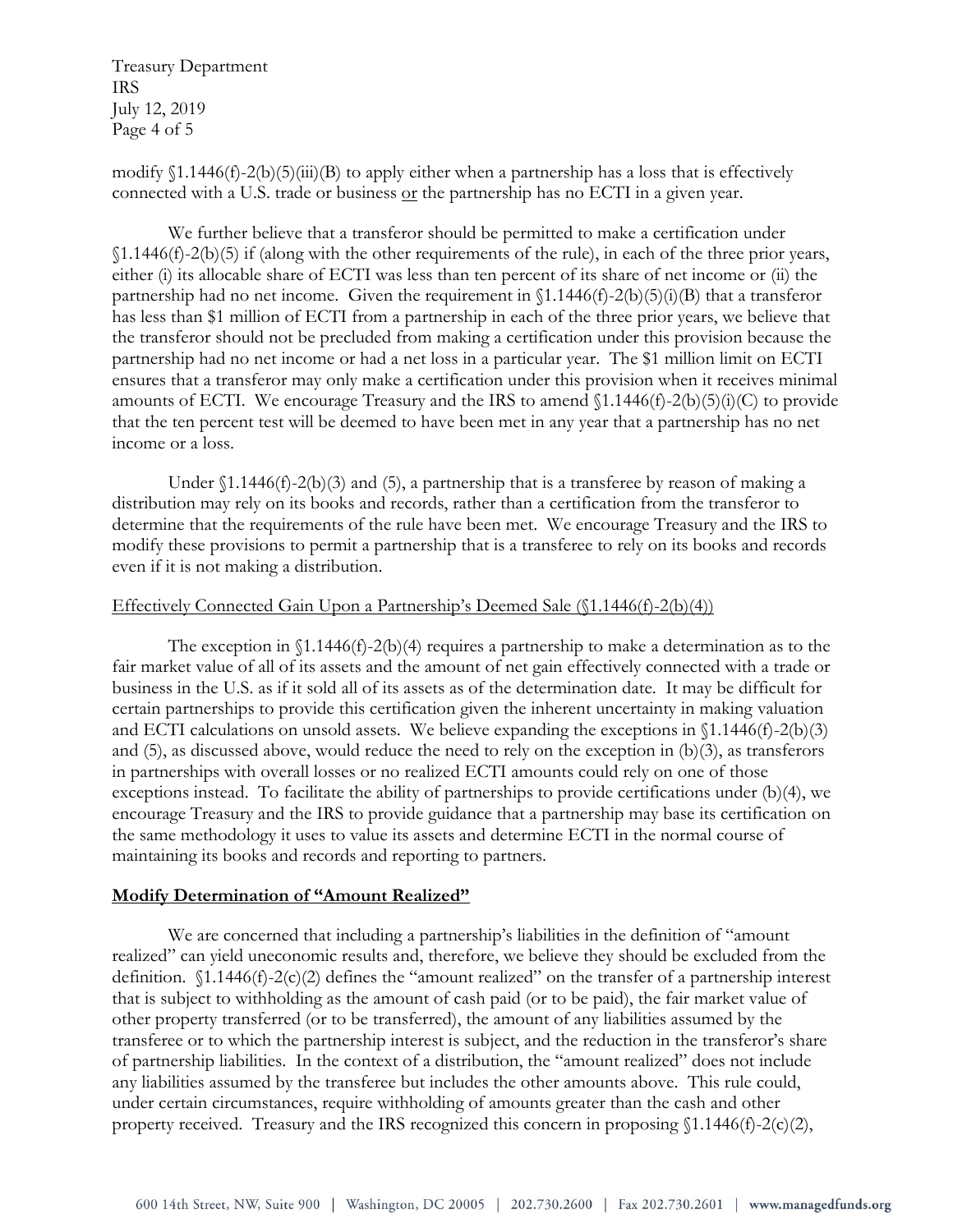Treasury Department IRS July 12, 2019 Page 4 of 5

modify §1.1446(f)-2(b)(5)(iii)(B) to apply either when a partnership has a loss that is effectively connected with a U.S. trade or business or the partnership has no ECTI in a given year.

We further believe that a transferor should be permitted to make a certification under §1.1446(f)-2(b)(5) if (along with the other requirements of the rule), in each of the three prior years, either (i) its allocable share of ECTI was less than ten percent of its share of net income or (ii) the partnership had no net income. Given the requirement in  $(1.1446(f)-2(b)(5)(i)(B)$  that a transferor has less than \$1 million of ECTI from a partnership in each of the three prior years, we believe that the transferor should not be precluded from making a certification under this provision because the partnership had no net income or had a net loss in a particular year. The \$1 million limit on ECTI ensures that a transferor may only make a certification under this provision when it receives minimal amounts of ECTI. We encourage Treasury and the IRS to amend  $(1.1446(f)-2(b)(5)(i)(C))$  to provide that the ten percent test will be deemed to have been met in any year that a partnership has no net income or a loss.

Under  $(1.1446(f)-2(b)(3)$  and (5), a partnership that is a transferee by reason of making a distribution may rely on its books and records, rather than a certification from the transferor to determine that the requirements of the rule have been met. We encourage Treasury and the IRS to modify these provisions to permit a partnership that is a transferee to rely on its books and records even if it is not making a distribution.

### Effectively Connected Gain Upon a Partnership's Deemed Sale (§1.1446(f)-2(b)(4))

The exception in  $(1.1446(f)-2(b)(4))$  requires a partnership to make a determination as to the fair market value of all of its assets and the amount of net gain effectively connected with a trade or business in the U.S. as if it sold all of its assets as of the determination date. It may be difficult for certain partnerships to provide this certification given the inherent uncertainty in making valuation and ECTI calculations on unsold assets. We believe expanding the exceptions in §1.1446(f)-2(b)(3) and (5), as discussed above, would reduce the need to rely on the exception in (b)(3), as transferors in partnerships with overall losses or no realized ECTI amounts could rely on one of those exceptions instead. To facilitate the ability of partnerships to provide certifications under (b)(4), we encourage Treasury and the IRS to provide guidance that a partnership may base its certification on the same methodology it uses to value its assets and determine ECTI in the normal course of maintaining its books and records and reporting to partners.

## **Modify Determination of "Amount Realized"**

We are concerned that including a partnership's liabilities in the definition of "amount realized" can yield uneconomic results and, therefore, we believe they should be excluded from the definition. §1.1446(f)-2(c)(2) defines the "amount realized" on the transfer of a partnership interest that is subject to withholding as the amount of cash paid (or to be paid), the fair market value of other property transferred (or to be transferred), the amount of any liabilities assumed by the transferee or to which the partnership interest is subject, and the reduction in the transferor's share of partnership liabilities. In the context of a distribution, the "amount realized" does not include any liabilities assumed by the transferee but includes the other amounts above. This rule could, under certain circumstances, require withholding of amounts greater than the cash and other property received. Treasury and the IRS recognized this concern in proposing §1.1446(f)-2(c)(2),